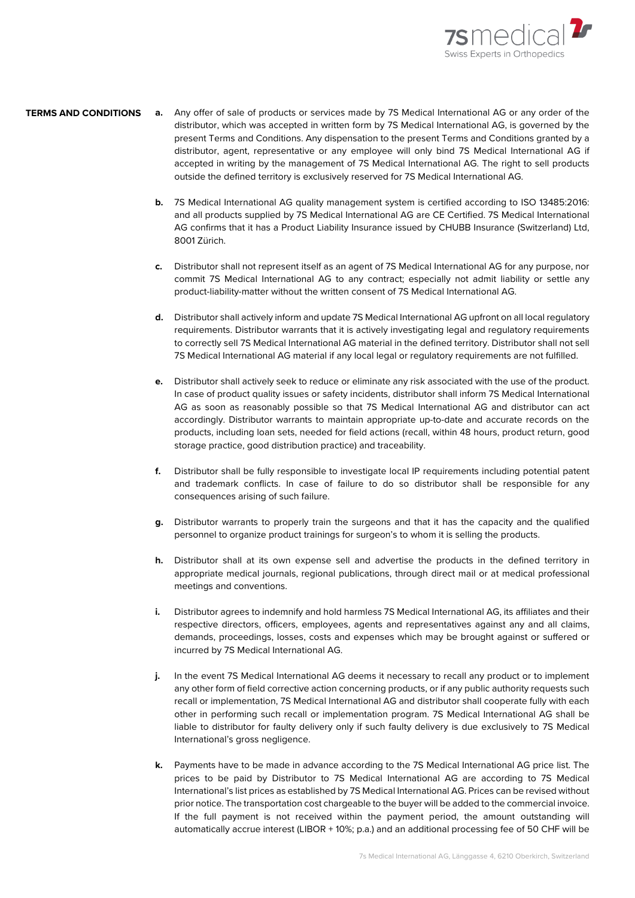

## **a.** Any offer of sale of products or services made by 7S Medical International AG or any order of the distributor, which was accepted in written form by 7S Medical International AG, is governed by the present Terms and Conditions. Any dispensation to the present Terms and Conditions granted by a distributor, agent, representative or any employee will only bind 7S Medical International AG if accepted in writing by the management of 7S Medical International AG. The right to sell products outside the defined territory is exclusively reserved for 7S Medical International AG. **TERMS AND CONDITIONS**

- **b.** 7S Medical International AG quality management system is certified according to ISO 13485:2016: and all products supplied by 7S Medical International AG are CE Certified. 7S Medical International AG confirms that it has a Product Liability Insurance issued by CHUBB Insurance (Switzerland) Ltd, 8001 Zürich.
- **c.** Distributor shall not represent itself as an agent of 7S Medical International AG for any purpose, nor commit 7S Medical International AG to any contract; especially not admit liability or settle any product-liability-matter without the written consent of 7S Medical International AG.
- **d.** Distributor shall actively inform and update 7S Medical International AG upfront on all local regulatory requirements. Distributor warrants that it is actively investigating legal and regulatory requirements to correctly sell 7S Medical International AG material in the defined territory. Distributor shall not sell 7S Medical International AG material if any local legal or regulatory requirements are not fulfilled.
- **e.** Distributor shall actively seek to reduce or eliminate any risk associated with the use of the product. In case of product quality issues or safety incidents, distributor shall inform 7S Medical International AG as soon as reasonably possible so that 7S Medical International AG and distributor can act accordingly. Distributor warrants to maintain appropriate up-to-date and accurate records on the products, including loan sets, needed for field actions (recall, within 48 hours, product return, good storage practice, good distribution practice) and traceability.
- **f.** Distributor shall be fully responsible to investigate local IP requirements including potential patent and trademark conflicts. In case of failure to do so distributor shall be responsible for any consequences arising of such failure.
- **g.** Distributor warrants to properly train the surgeons and that it has the capacity and the qualified personnel to organize product trainings for surgeon's to whom it is selling the products.
- **h.** Distributor shall at its own expense sell and advertise the products in the defined territory in appropriate medical journals, regional publications, through direct mail or at medical professional meetings and conventions.
- **i.** Distributor agrees to indemnify and hold harmless 7S Medical International AG, its affiliates and their respective directors, officers, employees, agents and representatives against any and all claims, demands, proceedings, losses, costs and expenses which may be brought against or suffered or incurred by 7S Medical International AG.
- **j.** In the event 7S Medical International AG deems it necessary to recall any product or to implement any other form of field corrective action concerning products, or if any public authority requests such recall or implementation, 7S Medical International AG and distributor shall cooperate fully with each other in performing such recall or implementation program. 7S Medical International AG shall be liable to distributor for faulty delivery only if such faulty delivery is due exclusively to 7S Medical International's gross negligence.
- **k.** Payments have to be made in advance according to the 7S Medical International AG price list. The prices to be paid by Distributor to 7S Medical International AG are according to 7S Medical International's list prices as established by 7S Medical International AG. Prices can be revised without prior notice. The transportation cost chargeable to the buyer will be added to the commercial invoice. If the full payment is not received within the payment period, the amount outstanding will automatically accrue interest (LIBOR + 10%; p.a.) and an additional processing fee of 50 CHF will be